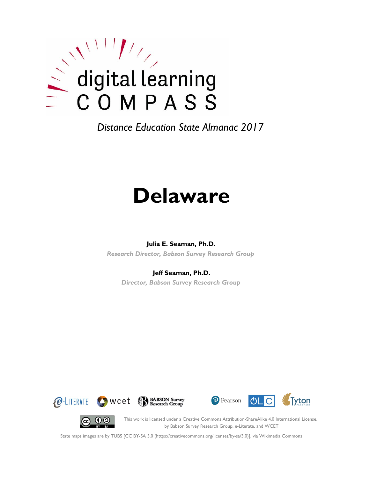

# **Delaware**

#### **Julia E. Seaman, Ph.D.**

*Research Director, Babson Survey Research Group*

#### **Jeff Seaman, Ph.D.**

*Director, Babson Survey Research Group*









This work is licensed under a Creative Commons Attribution-ShareAlike 4.0 International License. by Babson Survey Research Group, e-Literate, and WCET

State maps images are by TUBS [CC BY-SA 3.0 (https://creativecommons.org/licenses/by-sa/3.0)], via Wikimedia Commons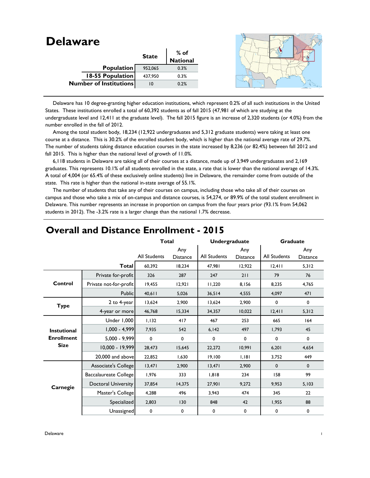| <b>Delaware</b>               |              |                 |  |
|-------------------------------|--------------|-----------------|--|
|                               | <b>State</b> | $%$ of          |  |
|                               |              | <b>National</b> |  |
| <b>Population</b>             | 952,065      | 0.3%            |  |
| <b>18-55 Population</b>       | 437,950      | 0.3%            |  |
| <b>Number of Institutions</b> | 10           | 0.2%            |  |
|                               |              |                 |  |

 Delaware has 10 degree-granting higher education institutions, which represent 0.2% of all such institutions in the United States. These institutions enrolled a total of 60,392 students as of fall 2015 (47,981 of which are studying at the undergraduate level and 12,411 at the graduate level). The fall 2015 figure is an increase of 2,320 students (or 4.0%) from the number enrolled in the fall of 2012.

 Among the total student body, 18,234 (12,922 undergraduates and 5,312 graduate students) were taking at least one course at a distance. This is 30.2% of the enrolled student body, which is higher than the national average rate of 29.7%. The number of students taking distance education courses in the state increased by 8,236 (or 82.4%) between fall 2012 and fall 2015. This is higher than the national level of growth of 11.0%.

 6,118 students in Delaware are taking all of their courses at a distance, made up of 3,949 undergraduates and 2,169 graduates. This represents 10.1% of all students enrolled in the state, a rate that is lower than the national average of 14.3%. A total of 4,004 (or 65.4% of these exclusively online students) live in Delaware, the remainder come from outside of the state. This rate is higher than the national in-state average of 55.1%.

 The number of students that take any of their courses on campus, including those who take all of their courses on campus and those who take a mix of on-campus and distance courses, is 54,274, or 89.9% of the total student enrollment in Delaware. This number represents an increase in proportion on campus from the four years prior (93.1% from 54,062 students in 2012). The -3.2% rate is a larger change than the national 1.7% decrease.

|                    |                            | <b>Total</b>        |                        | <b>Undergraduate</b> |                        | <b>Graduate</b>     |                        |
|--------------------|----------------------------|---------------------|------------------------|----------------------|------------------------|---------------------|------------------------|
|                    |                            | <b>All Students</b> | Any<br><b>Distance</b> | <b>All Students</b>  | Any<br><b>Distance</b> | <b>All Students</b> | Any<br><b>Distance</b> |
|                    | <b>Total</b>               | 60.392              | 18,234                 | 47,981               | 12,922                 | 12,411              | 5,312                  |
|                    | Private for-profit         | 326                 | 287                    | 247                  | 211                    | 79                  | 76                     |
| Control            | Private not-for-profit     | 19,455              | 12,921                 | 11,220               | 8,156                  | 8,235               | 4,765                  |
|                    | Public                     | $40,6$              | 5,026                  | 36,514               | 4,555                  | 4,097               | 471                    |
| <b>Type</b>        | 2 to 4-year                | 13,624              | 2,900                  | 13,624               | 2,900                  | 0                   | 0                      |
|                    | 4-year or more             | 46,768              | 15,334                 | 34,357               | 10,022                 | 12,411              | 5,312                  |
|                    | Under 1,000                | 1,132               | 417                    | 467                  | 253                    | 665                 | 164                    |
| <b>Instutional</b> | $1,000 - 4,999$            | 7,935               | 542                    | 6,142                | 497                    | 1,793               | 45                     |
| <b>Enrollment</b>  | 5,000 - 9,999              | 0                   | $\mathbf 0$            | 0                    | $\mathbf 0$            | 0                   | $\mathbf 0$            |
| <b>Size</b>        | $10,000 - 19,999$          | 28,473              | 15,645                 | 22,272               | 10,991                 | 6,201               | 4,654                  |
|                    | 20,000 and above           | 22,852              | 1,630                  | 19,100               | 1.181                  | 3,752               | 449                    |
|                    | Associate's College        | 13,471              | 2,900                  | 13,471               | 2,900                  | 0                   | $\mathbf{0}$           |
|                    | Baccalaureate College      | 1,976               | 333                    | 1,818                | 234                    | 158                 | 99                     |
| Carnegie           | <b>Doctoral University</b> | 37,854              | 14,375                 | 27,901               | 9,272                  | 9,953               | 5,103                  |
|                    | Master's College           | 4,288               | 496                    | 3,943                | 474                    | 345                 | 22                     |
|                    | Specialized                | 2,803               | 130                    | 848                  | 42                     | 1,955               | 88                     |
|                    | Unassigned                 | 0                   | 0                      | 0                    | 0                      | 0                   | 0                      |

## **Overall and Distance Enrollment - 2015**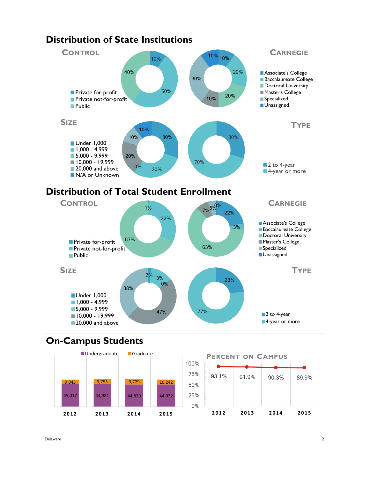

# **Distribution of Total Student Enrollment**



## **On-Campus Students**



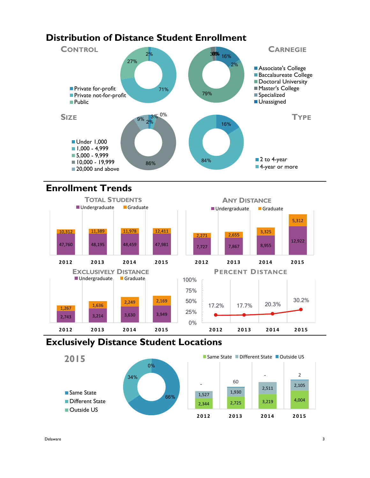## **Distribution of Distance Student Enrollment**



## **Enrollment Trends**



## **Exclusively Distance Student Locations**